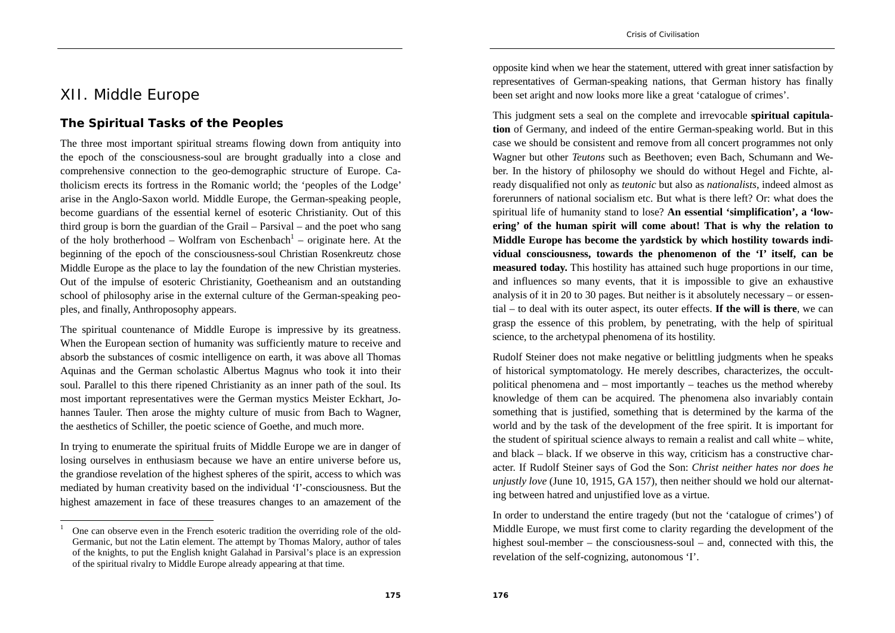# XII. Middle Europe

#### **The Spiritual Tasks of the Peoples**

The three most important spiritual streams flowing down from antiquity into the epoch of the consciousness-soul are brought gradually into a close and comprehensive connection to the geo-demographic structure of Europe. Catholicism erects its fortress in the Romanic world; the 'peoples of the Lodge' arise in the Anglo-Saxon world. Middle Europe, the German-speaking people, become guardians of the essential kernel of esoteric Christianity. Out of this third group is born the guardian of the Grail – Parsival – and the poet who sang of the holy brotherhood – Wolfram von Eschenbach<sup>1</sup> – originate here. At the beginning of the epoch of the consciousness-soul Christian Rosenkreutz chose Middle Europe as the place to lay the foundation of the new Christian mysteries. Out of the impulse of esoteric Christianity, Goetheanism and an outstanding school of philosophy arise in the external culture of the German-speaking peoples, and finally, Anthroposophy appears.

The spiritual countenance of Middle Europe is impressive by its greatness. When the European section of humanity was sufficiently mature to receive and absorb the substances of cosmic intelligence on earth, it was above all Thomas Aquinas and the German scholastic Albertus Magnus who took it into their soul. Parallel to this there ripened Christianity as an inner path of the soul. Its most important representatives were the German mystics Meister Eckhart, Johannes Tauler. Then arose the mighty culture of music from Bach to Wagner, the aesthetics of Schiller, the poetic science of Goethe, and much more.

In trying to enumerate the spiritual fruits of Middle Europe we are in danger of losing ourselves in enthusiasm because we have an entire universe before us, the grandiose revelation of the highest spheres of the spirit, access to which was mediated by human creativity based on the individual 'I'-consciousness. But the highest amazement in face of these treasures changes to an amazement of the

opposite kind when we hear the statement, uttered with great inner satisfaction by representatives of German-speaking nations, that German history has finally been set aright and now looks more like a great 'catalogue of crimes'.

This judgment sets a seal on the complete and irrevocable **spiritual capitulation** of Germany, and indeed of the entire German-speaking world. But in this case we should be consistent and remove from all concert programmes not only Wagner but other *Teutons* such as Beethoven; even Bach, Schumann and Weber. In the history of philosophy we should do without Hegel and Fichte, already disqualified not only as *teutonic* but also as *nationalists*, indeed almost as forerunners of national socialism etc. But what is there left? Or: what does the spiritual life of humanity stand to lose? **An essential 'simplification', a 'lowering' of the human spirit will come about! That is why the relation to Middle Europe has become the yardstick by which hostility towards individual consciousness, towards the phenomenon of the 'I' itself, can be measured today.** This hostility has attained such huge proportions in our time, and influences so many events, that it is impossible to give an exhaustive analysis of it in 20 to 30 pages. But neither is it absolutely necessary – or essential – to deal with its outer aspect, its outer effects. **If the will is there**, we can grasp the essence of this problem, by penetrating, with the help of spiritual science, to the archetypal phenomena of its hostility.

Rudolf Steiner does not make negative or belittling judgments when he speaks of historical symptomatology. He merely describes, characterizes, the occultpolitical phenomena and – most importantly – teaches us the method whereby knowledge of them can be acquired. The phenomena also invariably contain something that is justified, something that is determined by the karma of the world and by the task of the development of the free spirit. It is important for the student of spiritual science always to remain a realist and call white – white, and black – black. If we observe in this way, criticism has a constructive character. If Rudolf Steiner says of God the Son: *Christ neither hates nor does he unjustly love* (June 10, 1915, GA 157), then neither should we hold our alternating between hatred and unjustified love as a virtue.

In order to understand the entire tragedy (but not the 'catalogue of crimes') of Middle Europe, we must first come to clarity regarding the development of the highest soul-member – the consciousness-soul – and, connected with this, the revelation of the self-cognizing, autonomous 'I'.

<sup>1</sup> One can observe even in the French esoteric tradition the overriding role of the old-Germanic, but not the Latin element. The attempt by Thomas Malory, author of tales of the knights, to put the English knight Galahad in Parsival's place is an expression of the spiritual rivalry to Middle Europe already appearing at that time.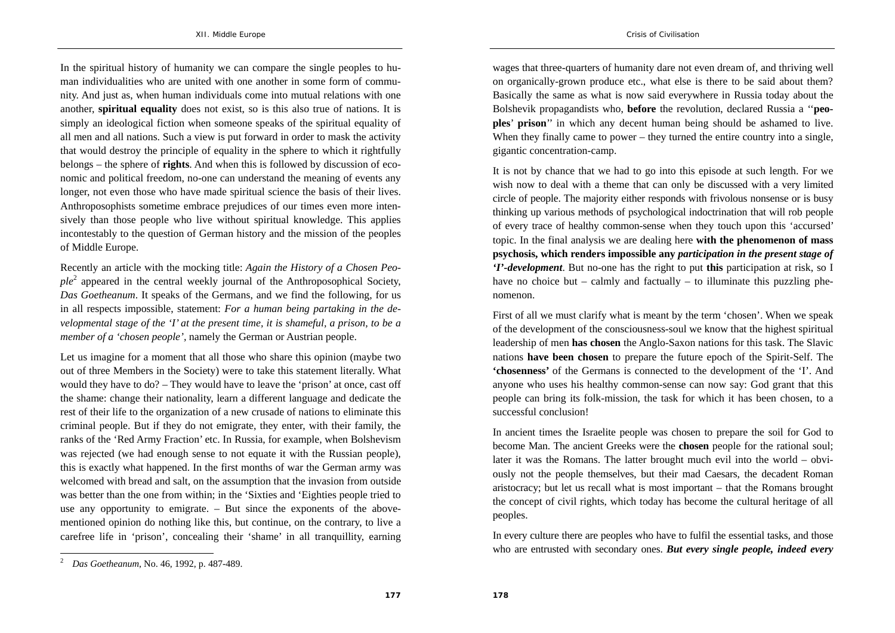In the spiritual history of humanity we can compare the single peoples to human individualities who are united with one another in some form of community. And just as, when human individuals come into mutual relations with one another, **spiritual equality** does not exist, so is this also true of nations. It is simply an ideological fiction when someone speaks of the spiritual equality of all men and all nations. Such a view is put forward in order to mask the activity that would destroy the principle of equality in the sphere to which it rightfully belongs – the sphere of **rights**. And when this is followed by discussion of economic and political freedom, no-one can understand the meaning of events any longer, not even those who have made spiritual science the basis of their lives. Anthroposophists sometime embrace prejudices of our times even more intensively than those people who live without spiritual knowledge. This applies incontestably to the question of German history and the mission of the peoples of Middle Europe.

Recently an article with the mocking title: *Again the History of a Chosen Peo* $ple<sup>2</sup>$  appeared in the central weekly journal of the Anthroposophical Society, *Das Goetheanum*. It speaks of the Germans, and we find the following, for us in all respects impossible, statement: *For a human being partaking in the developmental stage of the 'I' at the present time, it is shameful, a prison, to be a member of a 'chosen people',* namely the German or Austrian people.

Let us imagine for a moment that all those who share this opinion (maybe two out of three Members in the Society) were to take this statement literally. What would they have to do? – They would have to leave the 'prison' at once, cast off the shame: change their nationality, learn a different language and dedicate the rest of their life to the organization of a new crusade of nations to eliminate this criminal people. But if they do not emigrate, they enter, with their family, the ranks of the 'Red Army Fraction' etc. In Russia, for example, when Bolshevism was rejected (we had enough sense to not equate it with the Russian people), this is exactly what happened. In the first months of war the German army was welcomed with bread and salt, on the assumption that the invasion from outside was better than the one from within; in the 'Sixties and 'Eighties people tried to use any opportunity to emigrate. – But since the exponents of the abovementioned opinion do nothing like this, but continue, on the contrary, to live a carefree life in 'prison', concealing their 'shame' in all tranquillity, earning

wages that three-quarters of humanity dare not even dream of, and thriving well on organically-grown produce etc., what else is there to be said about them? Basically the same as what is now said everywhere in Russia today about the Bolshevik propagandists who, **before** the revolution, declared Russia a ''**peoples**' **prison**'' in which any decent human being should be ashamed to live. When they finally came to power – they turned the entire country into a single, gigantic concentration-camp.

It is not by chance that we had to go into this episode at such length. For we wish now to deal with a theme that can only be discussed with a very limited circle of people. The majority either responds with frivolous nonsense or is busy thinking up various methods of psychological indoctrination that will rob people of every trace of healthy common-sense when they touch upon this 'accursed' topic. In the final analysis we are dealing here **with the phenomenon of mass psychosis, which renders impossible any** *participation in the present stage of 'I'-development*. But no-one has the right to put **this** participation at risk, so I have no choice but – calmly and factually – to illuminate this puzzling phenomenon.

First of all we must clarify what is meant by the term 'chosen'. When we speak of the development of the consciousness-soul we know that the highest spiritual leadership of men **has chosen** the Anglo-Saxon nations for this task. The Slavic nations **have been chosen** to prepare the future epoch of the Spirit-Self. The **'chosenness'** of the Germans is connected to the development of the 'I'. And anyone who uses his healthy common-sense can now say: God grant that this people can bring its folk-mission, the task for which it has been chosen, to a successful conclusion!

In ancient times the Israelite people was chosen to prepare the soil for God to become Man. The ancient Greeks were the **chosen** people for the rational soul; later it was the Romans. The latter brought much evil into the world – obviously not the people themselves, but their mad Caesars, the decadent Roman aristocracy; but let us recall what is most important – that the Romans brought the concept of civil rights, which today has become the cultural heritage of all peoples.

In every culture there are peoples who have to fulfil the essential tasks, and those who are entrusted with secondary ones. *But every single people, indeed every* 

<sup>2</sup>*Das Goetheanum*, No. 46, 1992, p. 487-489.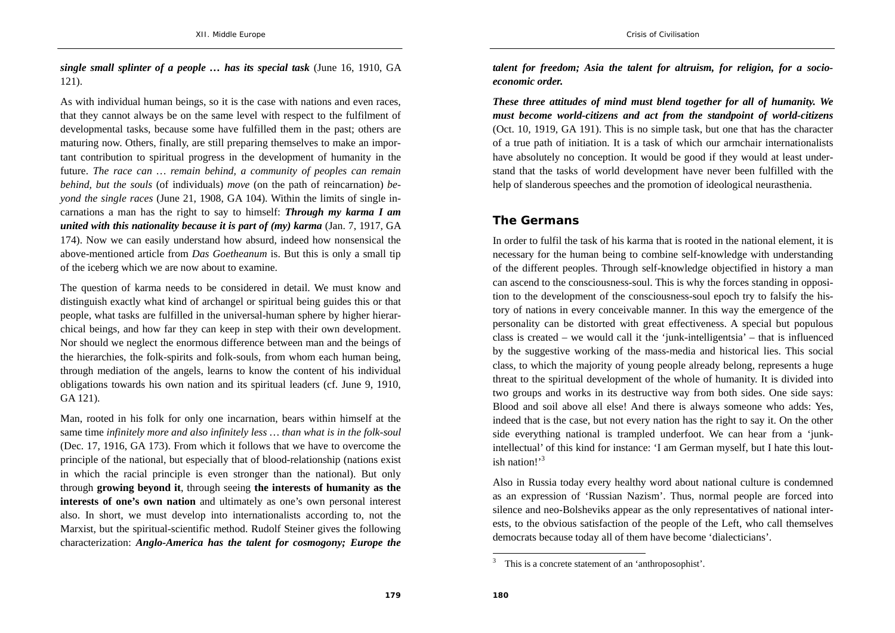*single small splinter of a people … has its special task* (June 16, 1910, GA 121).

As with individual human beings, so it is the case with nations and even races, that they cannot always be on the same level with respect to the fulfilment of developmental tasks, because some have fulfilled them in the past; others are maturing now. Others, finally, are still preparing themselves to make an important contribution to spiritual progress in the development of humanity in the future. *The race can … remain behind, a community of peoples can remain behind, but the souls* (of individuals) *move* (on the path of reincarnation) *beyond the single races* (June 21, 1908, GA 104). Within the limits of single incarnations a man has the right to say to himself: *Through my karma I am united with this nationality because it is part of (my) karma (Jan. 7, 1917, GA* 174). Now we can easily understand how absurd, indeed how nonsensical the above-mentioned article from *Das Goetheanum* is. But this is only a small tip of the iceberg which we are now about to examine.

The question of karma needs to be considered in detail. We must know and distinguish exactly what kind of archangel or spiritual being guides this or that people, what tasks are fulfilled in the universal-human sphere by higher hierarchical beings, and how far they can keep in step with their own development. Nor should we neglect the enormous difference between man and the beings of the hierarchies, the folk-spirits and folk-souls, from whom each human being, through mediation of the angels, learns to know the content of his individual obligations towards his own nation and its spiritual leaders (cf. June 9, 1910, GA 121).

Man, rooted in his folk for only one incarnation, bears within himself at the same time *infinitely more and also infinitely less … than what is in the folk-soul* (Dec. 17, 1916, GA 173). From which it follows that we have to overcome the principle of the national, but especially that of blood-relationship (nations exist in which the racial principle is even stronger than the national). But only through **growing beyond it**, through seeing **the interests of humanity as the interests of one's own nation** and ultimately as one's own personal interest also. In short, we must develop into internationalists according to, not the Marxist, but the spiritual-scientific method. Rudolf Steiner gives the following characterization: *Anglo-America has the talent for cosmogony; Europe the* 

*talent for freedom; Asia the talent for altruism, for religion, for a socioeconomic order.* 

*These three attitudes of mind must blend together for all of humanity. We must become world-citizens and act from the standpoint of world-citizens*  (Oct. 10, 1919, GA 191). This is no simple task, but one that has the character of a true path of initiation. It is a task of which our armchair internationalists have absolutely no conception. It would be good if they would at least understand that the tasks of world development have never been fulfilled with the help of slanderous speeches and the promotion of ideological neurasthenia.

#### **The Germans**

In order to fulfil the task of his karma that is rooted in the national element, it is necessary for the human being to combine self-knowledge with understanding of the different peoples. Through self-knowledge objectified in history a man can ascend to the consciousness-soul. This is why the forces standing in opposition to the development of the consciousness-soul epoch try to falsify the history of nations in every conceivable manner. In this way the emergence of the personality can be distorted with great effectiveness. A special but populous class is created – we would call it the 'junk-intelligentsia' – that is influenced by the suggestive working of the mass-media and historical lies. This social class, to which the majority of young people already belong, represents a huge threat to the spiritual development of the whole of humanity. It is divided into two groups and works in its destructive way from both sides. One side says: Blood and soil above all else! And there is always someone who adds: Yes, indeed that is the case, but not every nation has the right to say it. On the other side everything national is trampled underfoot. We can hear from a 'junkintellectual' of this kind for instance: 'I am German myself, but I hate this loutish nation!'<sup>3</sup>

Also in Russia today every healthy word about national culture is condemned as an expression of 'Russian Nazism'. Thus, normal people are forced into silence and neo-Bolsheviks appear as the only representatives of national interests, to the obvious satisfaction of the people of the Left, who call themselves democrats because today all of them have become 'dialecticians'.

<sup>&</sup>lt;sup>3</sup> This is a concrete statement of an 'anthroposophist'.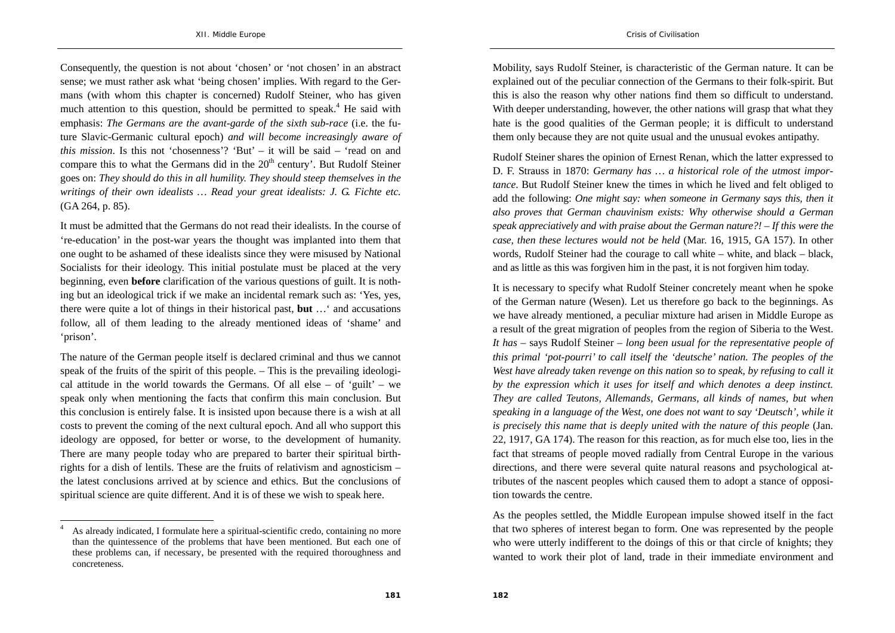Consequently, the question is not about 'chosen' or 'not chosen' in an abstract sense; we must rather ask what 'being chosen' implies. With regard to the Germans (with whom this chapter is concerned) Rudolf Steiner, who has given much attention to this question, should be permitted to speak.<sup>4</sup> He said with emphasis: *The Germans are the avant-garde of the sixth sub-race* (i.e. the future Slavic-Germanic cultural epoch) *and will become increasingly aware of this mission*. Is this not 'chosenness'? 'But' – it will be said – 'read on and compare this to what the Germans did in the  $20<sup>th</sup>$  century'. But Rudolf Steiner goes on: *They should do this in all humility. They should steep themselves in the writings of their own idealists … Read your great idealists: J. G. Fichte etc.* (GA 264, p. 85).

It must be admitted that the Germans do not read their idealists. In the course of 're-education' in the post-war years the thought was implanted into them that one ought to be ashamed of these idealists since they were misused by National Socialists for their ideology. This initial postulate must be placed at the very beginning, even **before** clarification of the various questions of guilt. It is nothing but an ideological trick if we make an incidental remark such as: 'Yes, yes, there were quite a lot of things in their historical past, **but** …' and accusations follow, all of them leading to the already mentioned ideas of 'shame' and 'prison'.

The nature of the German people itself is declared criminal and thus we cannot speak of the fruits of the spirit of this people. – This is the prevailing ideological attitude in the world towards the Germans. Of all else  $-$  of 'guilt'  $-$  we speak only when mentioning the facts that confirm this main conclusion. But this conclusion is entirely false. It is insisted upon because there is a wish at all costs to prevent the coming of the next cultural epoch. And all who support this ideology are opposed, for better or worse, to the development of humanity. There are many people today who are prepared to barter their spiritual birthrights for a dish of lentils. These are the fruits of relativism and agnosticism – the latest conclusions arrived at by science and ethics. But the conclusions of spiritual science are quite different. And it is of these we wish to speak here.

Mobility, says Rudolf Steiner, is characteristic of the German nature. It can be explained out of the peculiar connection of the Germans to their folk-spirit. But this is also the reason why other nations find them so difficult to understand. With deeper understanding, however, the other nations will grasp that what they hate is the good qualities of the German people; it is difficult to understand them only because they are not quite usual and the unusual evokes antipathy.

Rudolf Steiner shares the opinion of Ernest Renan, which the latter expressed to D. F. Strauss in 1870: *Germany has … a historical role of the utmost importance*. But Rudolf Steiner knew the times in which he lived and felt obliged to add the following: *One might say: when someone in Germany says this, then it also proves that German chauvinism exists: Why otherwise should a German speak appreciatively and with praise about the German nature?! – If this were the case, then these lectures would not be held* (Mar. 16, 1915, GA 157). In other words, Rudolf Steiner had the courage to call white – white, and black – black, and as little as this was forgiven him in the past, it is not forgiven him today.

It is necessary to specify what Rudolf Steiner concretely meant when he spoke of the German nature (Wesen). Let us therefore go back to the beginnings. As we have already mentioned, a peculiar mixture had arisen in Middle Europe as a result of the great migration of peoples from the region of Siberia to the West. *It has* – says Rudolf Steiner – *long been usual for the representative people of this primal 'pot-pourri' to call itself the 'deutsche' nation. The peoples of the West have already taken revenge on this nation so to speak, by refusing to call it by the expression which it uses for itself and which denotes a deep instinct. They are called Teutons, Allemands, Germans, all kinds of names, but when speaking in a language of the West, one does not want to say 'Deutsch', while it is precisely this name that is deeply united with the nature of this people* (Jan. 22, 1917, GA 174). The reason for this reaction, as for much else too, lies in the fact that streams of people moved radially from Central Europe in the various directions, and there were several quite natural reasons and psychological attributes of the nascent peoples which caused them to adopt a stance of opposition towards the centre.

As the peoples settled, the Middle European impulse showed itself in the fact that two spheres of interest began to form. One was represented by the people who were utterly indifferent to the doings of this or that circle of knights; they wanted to work their plot of land, trade in their immediate environment and

<sup>4</sup> As already indicated, I formulate here a spiritual-scientific credo, containing no more than the quintessence of the problems that have been mentioned. But each one of these problems can, if necessary, be presented with the required thoroughness and concreteness.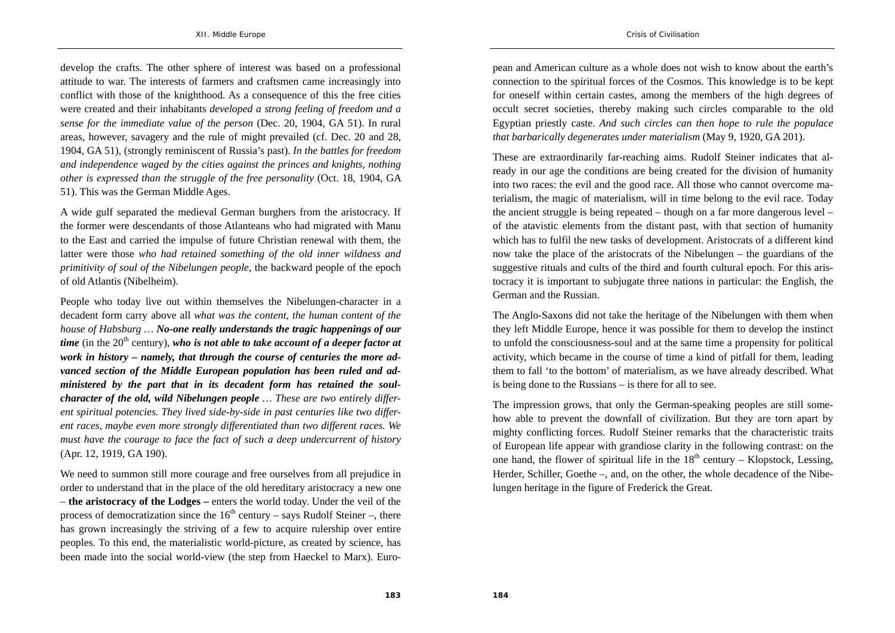develop the crafts. The other sphere of interest was based on a professional attitude to war. The interests of farmers and craftsmen came increasingly into conflict with those of the knighthood. As a consequence of this the free cities were created and their inhabitants *developed a strong feeling of freedom and a sense for the immediate value of the person* (Dec. 20, 1904, GA 51). In rural areas, however, savagery and the rule of might prevailed (cf. Dec. 20 and 28, 1904, GA 51), (strongly reminiscent of Russia's past). *In the battles for freedom and independence waged by the cities against the princes and knights, nothing other is expressed than the struggle of the free personality* (Oct. 18, 1904, GA 51). This was the German Middle Ages.

A wide gulf separated the medieval German burghers from the aristocracy. If the former were descendants of those Atlanteans who had migrated with Manu to the East and carried the impulse of future Christian renewal with them, the latter were those *who had retained something of the old inner wildness and primitivity of soul of the Nibelungen people*, the backward people of the epoch of old Atlantis (Nibelheim).

People who today live out within themselves the Nibelungen-character in a decadent form carry above all *what was the content, the human content of the house of Habsburg … No-one really understands the tragic happenings of our time* (in the  $20<sup>th</sup>$  century), *who is not able to take account of a deeper factor at work in history – namely, that through the course of centuries the more advanced section of the Middle European population has been ruled and administered by the part that in its decadent form has retained the soulcharacter of the old, wild Nibelungen people … These are two entirely different spiritual potencies. They lived side-by-side in past centuries like two different races, maybe even more strongly differentiated than two different races. We must have the courage to face the fact of such a deep undercurrent of history*  (Apr. 12, 1919, GA 190).

We need to summon still more courage and free ourselves from all prejudice in order to understand that in the place of the old hereditary aristocracy a new one – **the aristocracy of the Lodges –** enters the world today. Under the veil of the process of democratization since the  $16<sup>th</sup>$  century – says Rudolf Steiner –, there has grown increasingly the striving of a few to acquire rulership over entire peoples. To this end, the materialistic world-picture, as created by science, has been made into the social world-view (the step from Haeckel to Marx). European and American culture as a whole does not wish to know about the earth's connection to the spiritual forces of the Cosmos. This knowledge is to be kept for oneself within certain castes, among the members of the high degrees of occult secret societies, thereby making such circles comparable to the old Egyptian priestly caste. *And such circles can then hope to rule the populace that barbarically degenerates under materialism* (May 9, 1920, GA 201).

These are extraordinarily far-reaching aims. Rudolf Steiner indicates that already in our age the conditions are being created for the division of humanity into two races: the evil and the good race. All those who cannot overcome materialism, the magic of materialism, will in time belong to the evil race. Today the ancient struggle is being repeated – though on a far more dangerous level – of the atavistic elements from the distant past, with that section of humanity which has to fulfil the new tasks of development. Aristocrats of a different kind now take the place of the aristocrats of the Nibelungen – the guardians of the suggestive rituals and cults of the third and fourth cultural epoch. For this aristocracy it is important to subjugate three nations in particular: the English, the German and the Russian.

The Anglo-Saxons did not take the heritage of the Nibelungen with them when they left Middle Europe, hence it was possible for them to develop the instinct to unfold the consciousness-soul and at the same time a propensity for political activity, which became in the course of time a kind of pitfall for them, leading them to fall 'to the bottom' of materialism, as we have already described. What is being done to the Russians – is there for all to see.

The impression grows, that only the German-speaking peoples are still somehow able to prevent the downfall of civilization. But they are torn apart by mighty conflicting forces. Rudolf Steiner remarks that the characteristic traits of European life appear with grandiose clarity in the following contrast: on the one hand, the flower of spiritual life in the  $18<sup>th</sup>$  century – Klopstock, Lessing, Herder, Schiller, Goethe –, and, on the other, the whole decadence of the Nibelungen heritage in the figure of Frederick the Great.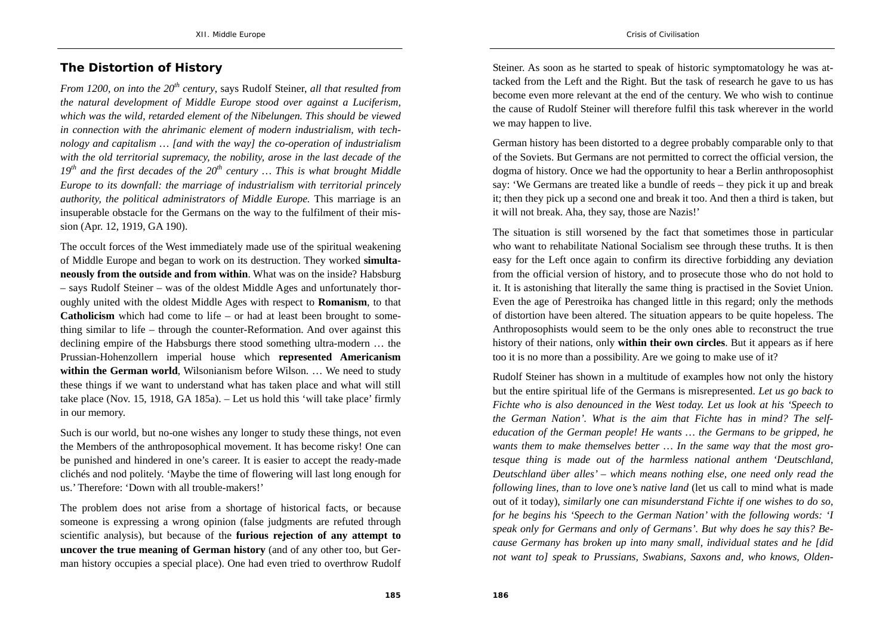## **The Distortion of History**

*From 1200, on into the 20th century*, says Rudolf Steiner, *all that resulted from the natural development of Middle Europe stood over against a Luciferism, which was the wild, retarded element of the Nibelungen. This should be viewed in connection with the ahrimanic element of modern industrialism, with technology and capitalism … [and with the way] the co-operation of industrialism with the old territorial supremacy, the nobility, arose in the last decade of the*   $19<sup>th</sup>$  and the first decades of the  $20<sup>th</sup>$  century ... This is what brought Middle *Europe to its downfall: the marriage of industrialism with territorial princely authority, the political administrators of Middle Europe.* This marriage is an insuperable obstacle for the Germans on the way to the fulfilment of their mission (Apr. 12, 1919, GA 190).

The occult forces of the West immediately made use of the spiritual weakening of Middle Europe and began to work on its destruction. They worked **simultaneously from the outside and from within**. What was on the inside? Habsburg – says Rudolf Steiner – was of the oldest Middle Ages and unfortunately thoroughly united with the oldest Middle Ages with respect to **Romanism**, to that **Catholicism** which had come to life – or had at least been brought to something similar to life – through the counter-Reformation. And over against this declining empire of the Habsburgs there stood something ultra-modern … the Prussian-Hohenzollern imperial house which **represented Americanism within the German world**, Wilsonianism before Wilson. ... We need to study these things if we want to understand what has taken place and what will still take place (Nov. 15, 1918, GA 185a). – Let us hold this 'will take place' firmly in our memory.

Such is our world, but no-one wishes any longer to study these things, not even the Members of the anthroposophical movement. It has become risky! One can be punished and hindered in one's career. It is easier to accept the ready-made clichés and nod politely. 'Maybe the time of flowering will last long enough for us.' Therefore: 'Down with all trouble-makers!'

The problem does not arise from a shortage of historical facts, or because someone is expressing a wrong opinion (false judgments are refuted through scientific analysis), but because of the **furious rejection of any attempt to uncover the true meaning of German history** (and of any other too, but German history occupies a special place). One had even tried to overthrow Rudolf Steiner. As soon as he started to speak of historic symptomatology he was attacked from the Left and the Right. But the task of research he gave to us has become even more relevant at the end of the century. We who wish to continue the cause of Rudolf Steiner will therefore fulfil this task wherever in the world we may happen to live.

German history has been distorted to a degree probably comparable only to that of the Soviets. But Germans are not permitted to correct the official version, the dogma of history. Once we had the opportunity to hear a Berlin anthroposophist say: 'We Germans are treated like a bundle of reeds – they pick it up and break it; then they pick up a second one and break it too. And then a third is taken, but it will not break. Aha, they say, those are Nazis!'

The situation is still worsened by the fact that sometimes those in particular who want to rehabilitate National Socialism see through these truths. It is then easy for the Left once again to confirm its directive forbidding any deviation from the official version of history, and to prosecute those who do not hold to it. It is astonishing that literally the same thing is practised in the Soviet Union. Even the age of Perestroika has changed little in this regard; only the methods of distortion have been altered. The situation appears to be quite hopeless. The Anthroposophists would seem to be the only ones able to reconstruct the true history of their nations, only **within their own circles**. But it appears as if here too it is no more than a possibility. Are we going to make use of it?

Rudolf Steiner has shown in a multitude of examples how not only the history but the entire spiritual life of the Germans is misrepresented. *Let us go back to Fichte who is also denounced in the West today. Let us look at his 'Speech to the German Nation'. What is the aim that Fichte has in mind? The selfeducation of the German people! He wants … the Germans to be gripped, he wants them to make themselves better … In the same way that the most grotesque thing is made out of the harmless national anthem 'Deutschland, Deutschland über alles' – which means nothing else, one need only read the following lines, than to love one's native land* (let us call to mind what is made out of it today), *similarly* o*ne can misunderstand Fichte if one wishes to do so, for he begins his 'Speech to the German Nation' with the following words: 'I speak only for Germans and only of Germans'. But why does he say this? Because Germany has broken up into many small, individual states and he [did not want to] speak to Prussians, Swabians, Saxons and, who knows, Olden-*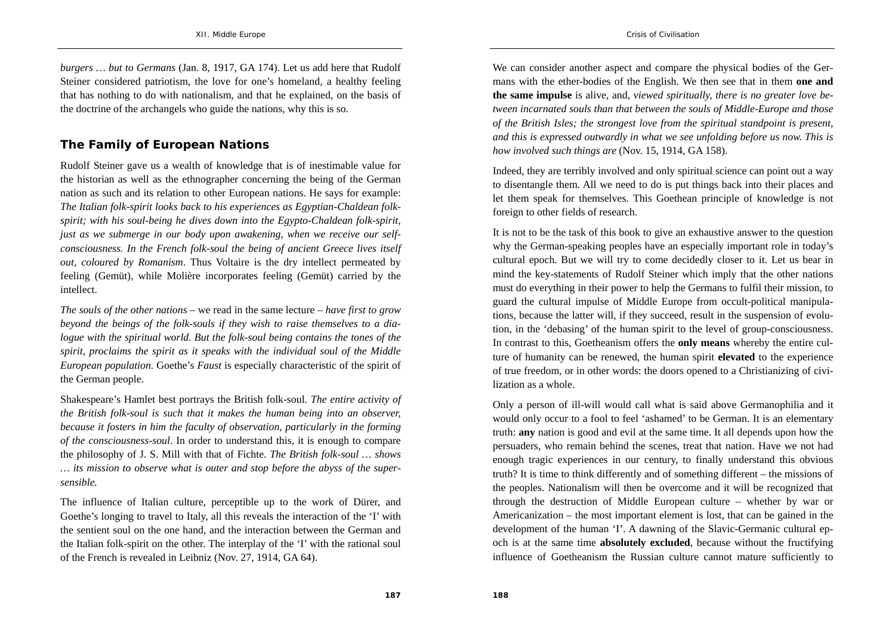*burgers … but to Germans* (Jan. 8, 1917, GA 174). Let us add here that Rudolf Steiner considered patriotism, the love for one's homeland, a healthy feeling that has nothing to do with nationalism, and that he explained, on the basis of the doctrine of the archangels who guide the nations, why this is so.

## **The Family of European Nations**

Rudolf Steiner gave us a wealth of knowledge that is of inestimable value for the historian as well as the ethnographer concerning the being of the German nation as such and its relation to other European nations. He says for example: *The Italian folk-spirit looks back to his experiences as Egyptian-Chaldean folkspirit; with his soul-being he dives down into the Egypto-Chaldean folk-spirit, just as we submerge in our body upon awakening, when we receive our selfconsciousness. In the French folk-soul the being of ancient Greece lives itself out, coloured by Romanism*. Thus Voltaire is the dry intellect permeated by feeling (Gemüt), while Molière incorporates feeling (Gemüt) carried by the intellect.

*The souls of the other nations* – we read in the same lecture – *have first to grow beyond the beings of the folk-souls if they wish to raise themselves to a dialogue with the spiritual world. But the folk-soul being contains the tones of the spirit, proclaims the spirit as it speaks with the individual soul of the Middle European population*. Goethe's *Faust* is especially characteristic of the spirit of the German people.

Shakespeare's Hamlet best portrays the British folk-soul. *The entire activity of the British folk-soul is such that it makes the human being into an observer, because it fosters in him the faculty of observation, particularly in the forming of the consciousness-soul*. In order to understand this, it is enough to compare the philosophy of J. S. Mill with that of Fichte. *The British folk-soul … shows … its mission to observe what is outer and stop before the abyss of the supersensible.*

The influence of Italian culture, perceptible up to the work of Dürer, and Goethe's longing to travel to Italy, all this reveals the interaction of the 'I' with the sentient soul on the one hand, and the interaction between the German and the Italian folk-spirit on the other. The interplay of the 'I' with the rational soul of the French is revealed in Leibniz (Nov. 27, 1914, GA 64).

We can consider another aspect and compare the physical bodies of the Germans with the ether-bodies of the English. We then see that in them **one and the same impulse** is alive, and, *viewed spiritually, there is no greater love between incarnated souls than that between the souls of Middle-Europe and those of the British Isles; the strongest love from the spiritual standpoint is present, and this is expressed outwardly in what we see unfolding before us now. This is how involved such things are* (Nov. 15, 1914, GA 158).

Indeed, they are terribly involved and only spiritual science can point out a way to disentangle them. All we need to do is put things back into their places and let them speak for themselves. This Goethean principle of knowledge is not foreign to other fields of research.

It is not to be the task of this book to give an exhaustive answer to the question why the German-speaking peoples have an especially important role in today's cultural epoch. But we will try to come decidedly closer to it. Let us bear in mind the key-statements of Rudolf Steiner which imply that the other nations must do everything in their power to help the Germans to fulfil their mission, to guard the cultural impulse of Middle Europe from occult-political manipulations, because the latter will, if they succeed, result in the suspension of evolution, in the 'debasing' of the human spirit to the level of group-consciousness. In contrast to this, Goetheanism offers the **only means** whereby the entire culture of humanity can be renewed, the human spirit **elevated** to the experience of true freedom, or in other words: the doors opened to a Christianizing of civilization as a whole.

Only a person of ill-will would call what is said above Germanophilia and it would only occur to a fool to feel 'ashamed' to be German. It is an elementary truth: **any** nation is good and evil at the same time. It all depends upon how the persuaders, who remain behind the scenes, treat that nation. Have we not had enough tragic experiences in our century, to finally understand this obvious truth? It is time to think differently and of something different – the missions of the peoples. Nationalism will then be overcome and it will be recognized that through the destruction of Middle European culture – whether by war or Americanization – the most important element is lost, that can be gained in the development of the human 'I'. A dawning of the Slavic-Germanic cultural epoch is at the same time **absolutely excluded**, because without the fructifying influence of Goetheanism the Russian culture cannot mature sufficiently to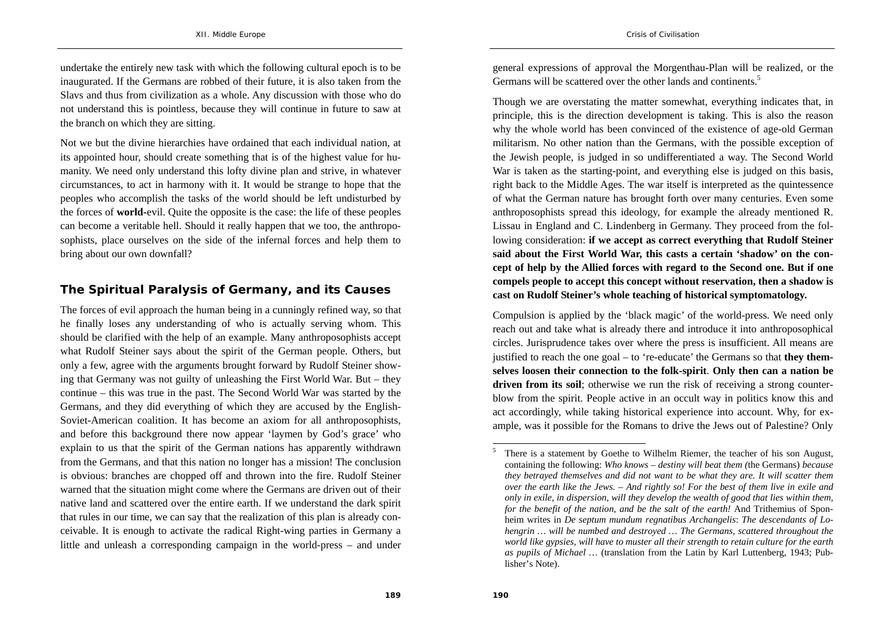undertake the entirely new task with which the following cultural epoch is to be inaugurated. If the Germans are robbed of their future, it is also taken from the Slavs and thus from civilization as a whole. Any discussion with those who do not understand this is pointless, because they will continue in future to saw at the branch on which they are sitting.

Not we but the divine hierarchies have ordained that each individual nation, at its appointed hour, should create something that is of the highest value for humanity. We need only understand this lofty divine plan and strive, in whatever circumstances, to act in harmony with it. It would be strange to hope that the peoples who accomplish the tasks of the world should be left undisturbed by the forces of **world-**evil. Quite the opposite is the case: the life of these peoples can become a veritable hell. Should it really happen that we too, the anthroposophists, place ourselves on the side of the infernal forces and help them to bring about our own downfall?

## **The Spiritual Paralysis of Germany, and its Causes**

The forces of evil approach the human being in a cunningly refined way, so that he finally loses any understanding of who is actually serving whom. This should be clarified with the help of an example. Many anthroposophists accept what Rudolf Steiner says about the spirit of the German people. Others, but only a few, agree with the arguments brought forward by Rudolf Steiner showing that Germany was not guilty of unleashing the First World War. But – they continue – this was true in the past. The Second World War was started by the Germans, and they did everything of which they are accused by the English-Soviet-American coalition. It has become an axiom for all anthroposophists, and before this background there now appear 'laymen by God's grace' who explain to us that the spirit of the German nations has apparently withdrawn from the Germans, and that this nation no longer has a mission! The conclusion is obvious: branches are chopped off and thrown into the fire. Rudolf Steiner warned that the situation might come where the Germans are driven out of their native land and scattered over the entire earth. If we understand the dark spirit that rules in our time, we can say that the realization of this plan is already conceivable. It is enough to activate the radical Right-wing parties in Germany a little and unleash a corresponding campaign in the world-press – and under general expressions of approval the Morgenthau-Plan will be realized, or the Germans will be scattered over the other lands and continents.<sup>5</sup>

Though we are overstating the matter somewhat, everything indicates that, in principle, this is the direction development is taking. This is also the reason why the whole world has been convinced of the existence of age-old German militarism. No other nation than the Germans, with the possible exception of the Jewish people, is judged in so undifferentiated a way. The Second World War is taken as the starting-point, and everything else is judged on this basis, right back to the Middle Ages. The war itself is interpreted as the quintessence of what the German nature has brought forth over many centuries. Even some anthroposophists spread this ideology, for example the already mentioned R. Lissau in England and C. Lindenberg in Germany. They proceed from the following consideration: **if we accept as correct everything that Rudolf Steiner said about the First World War, this casts a certain 'shadow' on the concept of help by the Allied forces with regard to the Second one. But if one compels people to accept this concept without reservation, then a shadow is cast on Rudolf Steiner's whole teaching of historical symptomatology.**

Compulsion is applied by the 'black magic' of the world-press. We need only reach out and take what is already there and introduce it into anthroposophical circles. Jurisprudence takes over where the press is insufficient. All means are justified to reach the one goal – to 're-educate' the Germans so that **they themselves loosen their connection to the folk-spirit**. **Only then can a nation be driven from its soil**; otherwise we run the risk of receiving a strong counterblow from the spirit. People active in an occult way in politics know this and act accordingly, while taking historical experience into account. Why, for example, was it possible for the Romans to drive the Jews out of Palestine? Only

<sup>5</sup> There is a statement by Goethe to Wilhelm Riemer, the teacher of his son August, containing the following: *Who knows – destiny will beat them (*the Germans) *because they betrayed themselves and did not want to be what they are. It will scatter them over the earth like the Jews. – And rightly so! For the best of them live in exile and only in exile, in dispersion, will they develop the wealth of good that lies within them, for the benefit of the nation, and be the salt of the earth!* And Trithemius of Sponheim writes in *De septum mundum regnatibus Archangelis*: *The descendants of Lohengrin … will be numbed and destroyed … The Germans, scattered throughout the world like gypsies, will have to muster all their strength to retain culture for the earth as pupils of Michael …* (translation from the Latin by Karl Luttenberg, 1943; Publisher's Note).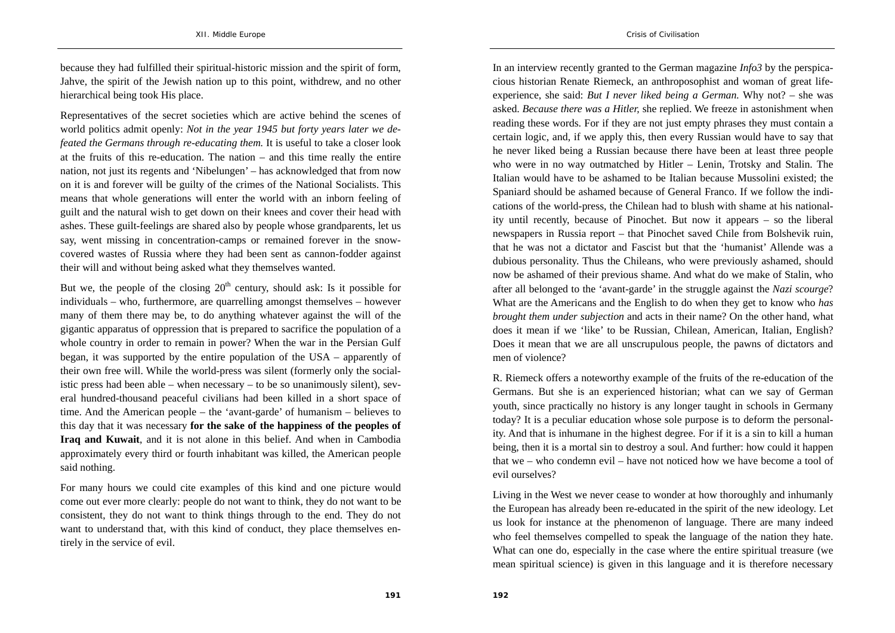because they had fulfilled their spiritual-historic mission and the spirit of form, Jahve, the spirit of the Jewish nation up to this point, withdrew, and no other hierarchical being took His place.

Representatives of the secret societies which are active behind the scenes of world politics admit openly: *Not in the year 1945 but forty years later we defeated the Germans through re-educating them.* It is useful to take a closer look at the fruits of this re-education. The nation – and this time really the entire nation, not just its regents and 'Nibelungen' – has acknowledged that from now on it is and forever will be guilty of the crimes of the National Socialists. This means that whole generations will enter the world with an inborn feeling of guilt and the natural wish to get down on their knees and cover their head with ashes. These guilt-feelings are shared also by people whose grandparents, let us say, went missing in concentration-camps or remained forever in the snowcovered wastes of Russia where they had been sent as cannon-fodder against their will and without being asked what they themselves wanted.

But we, the people of the closing  $20<sup>th</sup>$  century, should ask: Is it possible for individuals – who, furthermore, are quarrelling amongst themselves – however many of them there may be, to do anything whatever against the will of the gigantic apparatus of oppression that is prepared to sacrifice the population of a whole country in order to remain in power? When the war in the Persian Gulf began, it was supported by the entire population of the USA – apparently of their own free will. While the world-press was silent (formerly only the socialistic press had been able – when necessary – to be so unanimously silent), several hundred-thousand peaceful civilians had been killed in a short space of time. And the American people – the 'avant-garde' of humanism – believes to this day that it was necessary **for the sake of the happiness of the peoples of Iraq and Kuwait**, and it is not alone in this belief. And when in Cambodia approximately every third or fourth inhabitant was killed, the American people said nothing.

For many hours we could cite examples of this kind and one picture would come out ever more clearly: people do not want to think, they do not want to be consistent, they do not want to think things through to the end. They do not want to understand that, with this kind of conduct, they place themselves entirely in the service of evil.

In an interview recently granted to the German magazine *Info3* by the perspicacious historian Renate Riemeck, an anthroposophist and woman of great lifeexperience, she said: *But I never liked being a German.* Why not? – she was asked. *Because there was a Hitler,* she replied. We freeze in astonishment when reading these words. For if they are not just empty phrases they must contain a certain logic, and, if we apply this, then every Russian would have to say that he never liked being a Russian because there have been at least three people who were in no way outmatched by Hitler – Lenin, Trotsky and Stalin. The Italian would have to be ashamed to be Italian because Mussolini existed; the Spaniard should be ashamed because of General Franco. If we follow the indications of the world-press, the Chilean had to blush with shame at his nationality until recently, because of Pinochet. But now it appears – so the liberal newspapers in Russia report – that Pinochet saved Chile from Bolshevik ruin, that he was not a dictator and Fascist but that the 'humanist' Allende was a dubious personality. Thus the Chileans, who were previously ashamed, should now be ashamed of their previous shame. And what do we make of Stalin, who after all belonged to the 'avant-garde' in the struggle against the *Nazi scourge*? What are the Americans and the English to do when they get to know who *has brought them under subjection* and acts in their name? On the other hand, what does it mean if we 'like' to be Russian, Chilean, American, Italian, English? Does it mean that we are all unscrupulous people, the pawns of dictators and men of violence?

R. Riemeck offers a noteworthy example of the fruits of the re-education of the Germans. But she is an experienced historian; what can we say of German youth, since practically no history is any longer taught in schools in Germany today? It is a peculiar education whose sole purpose is to deform the personality. And that is inhumane in the highest degree. For if it is a sin to kill a human being, then it is a mortal sin to destroy a soul. And further: how could it happen that we – who condemn evil – have not noticed how we have become a tool of evil ourselves?

Living in the West we never cease to wonder at how thoroughly and inhumanly the European has already been re-educated in the spirit of the new ideology. Let us look for instance at the phenomenon of language. There are many indeed who feel themselves compelled to speak the language of the nation they hate. What can one do, especially in the case where the entire spiritual treasure (we mean spiritual science) is given in this language and it is therefore necessary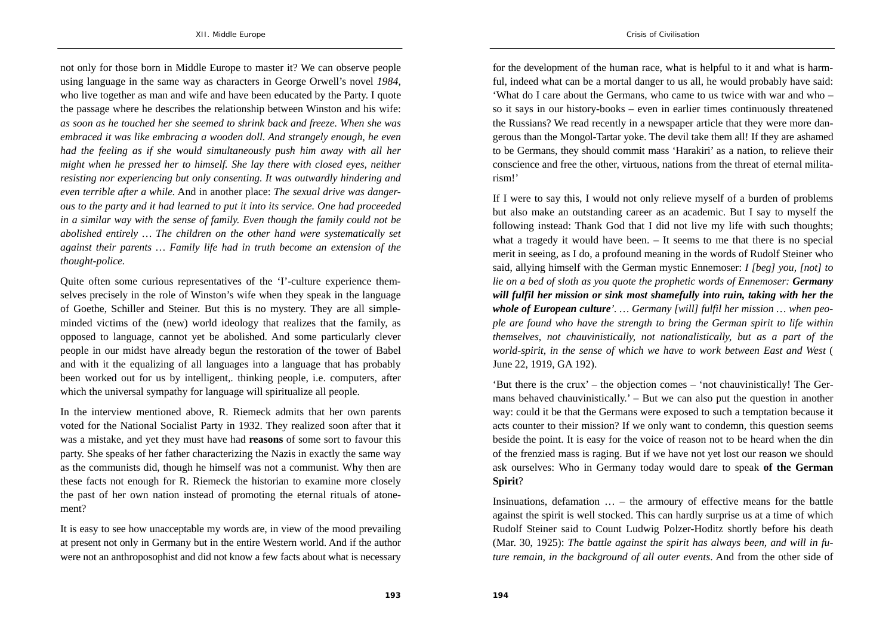not only for those born in Middle Europe to master it? We can observe people using language in the same way as characters in George Orwell's novel *1984*, who live together as man and wife and have been educated by the Party. I quote the passage where he describes the relationship between Winston and his wife: *as soon as he touched her she seemed to shrink back and freeze. When she was embraced it was like embracing a wooden doll. And strangely enough, he even had the feeling as if she would simultaneously push him away with all her might when he pressed her to himself. She lay there with closed eyes, neither resisting nor experiencing but only consenting. It was outwardly hindering and even terrible after a while.* And in another place: *The sexual drive was dangerous to the party and it had learned to put it into its service. One had proceeded in a similar way with the sense of family. Even though the family could not be abolished entirely … The children on the other hand were systematically set against their parents … Family life had in truth become an extension of the thought-police.*

Quite often some curious representatives of the 'I'-culture experience themselves precisely in the role of Winston's wife when they speak in the language of Goethe, Schiller and Steiner. But this is no mystery. They are all simpleminded victims of the (new) world ideology that realizes that the family, as opposed to language, cannot yet be abolished. And some particularly clever people in our midst have already begun the restoration of the tower of Babel and with it the equalizing of all languages into a language that has probably been worked out for us by intelligent,. thinking people, i.e. computers, after which the universal sympathy for language will spiritualize all people.

In the interview mentioned above, R. Riemeck admits that her own parents voted for the National Socialist Party in 1932. They realized soon after that it was a mistake, and yet they must have had **reasons** of some sort to favour this party. She speaks of her father characterizing the Nazis in exactly the same way as the communists did, though he himself was not a communist. Why then are these facts not enough for R. Riemeck the historian to examine more closely the past of her own nation instead of promoting the eternal rituals of atonement?

It is easy to see how unacceptable my words are, in view of the mood prevailing at present not only in Germany but in the entire Western world. And if the author were not an anthroposophist and did not know a few facts about what is necessary

for the development of the human race, what is helpful to it and what is harmful, indeed what can be a mortal danger to us all, he would probably have said: 'What do I care about the Germans, who came to us twice with war and who – so it says in our history-books – even in earlier times continuously threatened the Russians? We read recently in a newspaper article that they were more dangerous than the Mongol-Tartar yoke. The devil take them all! If they are ashamed to be Germans, they should commit mass 'Harakiri' as a nation, to relieve their conscience and free the other, virtuous, nations from the threat of eternal militarism!'

If I were to say this, I would not only relieve myself of a burden of problems but also make an outstanding career as an academic. But I say to myself the following instead: Thank God that I did not live my life with such thoughts; what a tragedy it would have been. – It seems to me that there is no special merit in seeing, as I do, a profound meaning in the words of Rudolf Steiner who said, allying himself with the German mystic Ennemoser: *I [beg] you, [not] to lie on a bed of sloth as you quote the prophetic words of Ennemoser: Germany will fulfil her mission or sink most shamefully into ruin, taking with her the whole of European culture'. … Germany [will] fulfil her mission … when people are found who have the strength to bring the German spirit to life within themselves, not chauvinistically, not nationalistically, but as a part of the world-spirit, in the sense of which we have to work between East and West* ( June 22, 1919, GA 192).

'But there is the crux' – the objection comes – 'not chauvinistically! The Germans behaved chauvinistically.' – But we can also put the question in another way: could it be that the Germans were exposed to such a temptation because it acts counter to their mission? If we only want to condemn, this question seems beside the point. It is easy for the voice of reason not to be heard when the din of the frenzied mass is raging. But if we have not yet lost our reason we should ask ourselves: Who in Germany today would dare to speak **of the German Spirit**?

Insinuations, defamation  $\ldots$  – the armoury of effective means for the battle against the spirit is well stocked. This can hardly surprise us at a time of which Rudolf Steiner said to Count Ludwig Polzer-Hoditz shortly before his death (Mar. 30, 1925): *The battle against the spirit has always been, and will in future remain, in the background of all outer events*. And from the other side of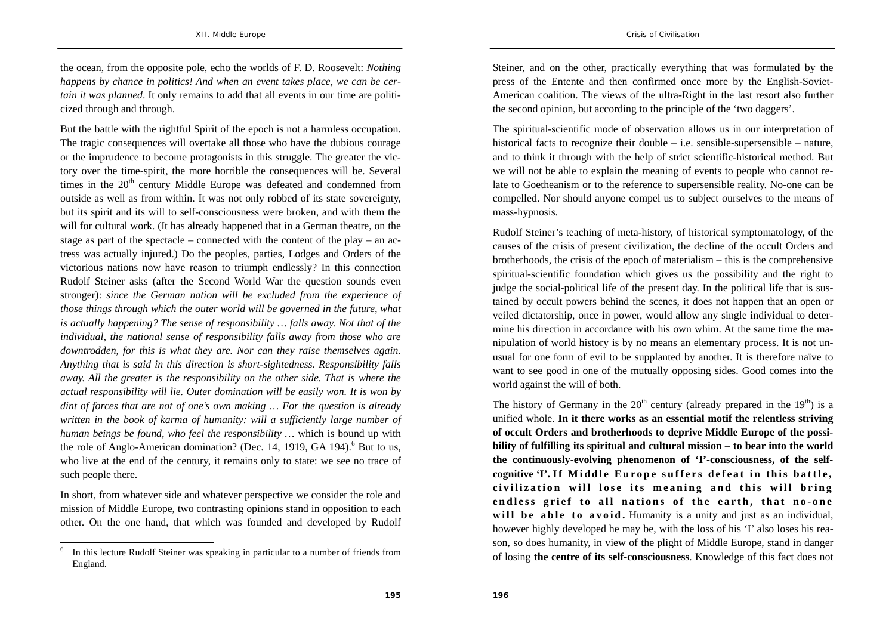the ocean, from the opposite pole, echo the worlds of F. D. Roosevelt: *Nothing happens by chance in politics! And when an event takes place, we can be certain it was planned*. It only remains to add that all events in our time are politicized through and through.

But the battle with the rightful Spirit of the epoch is not a harmless occupation. The tragic consequences will overtake all those who have the dubious courage or the imprudence to become protagonists in this struggle. The greater the victory over the time-spirit, the more horrible the consequences will be. Several times in the  $20<sup>th</sup>$  century Middle Europe was defeated and condemned from outside as well as from within. It was not only robbed of its state sovereignty, but its spirit and its will to self-consciousness were broken, and with them the will for cultural work. (It has already happened that in a German theatre, on the stage as part of the spectacle – connected with the content of the play – an actress was actually injured.) Do the peoples, parties, Lodges and Orders of the victorious nations now have reason to triumph endlessly? In this connection Rudolf Steiner asks (after the Second World War the question sounds even stronger): *since the German nation will be excluded from the experience of those things through which the outer world will be governed in the future, what is actually happening? The sense of responsibility … falls away. Not that of the individual, the national sense of responsibility falls away from those who are downtrodden, for this is what they are. Nor can they raise themselves again. Anything that is said in this direction is short-sightedness. Responsibility falls away. All the greater is the responsibility on the other side. That is where the actual responsibility will lie. Outer domination will be easily won. It is won by dint of forces that are not of one's own making … For the question is already written in the book of karma of humanity: will a sufficiently large number of human beings be found, who feel the responsibility …* which is bound up with the role of Anglo-American domination? (Dec. 14, 1919, GA 194).<sup>6</sup> But to us, who live at the end of the century, it remains only to state: we see no trace of such people there.

In short, from whatever side and whatever perspective we consider the role and mission of Middle Europe, two contrasting opinions stand in opposition to each other. On the one hand, that which was founded and developed by Rudolf

Steiner, and on the other, practically everything that was formulated by the press of the Entente and then confirmed once more by the English-Soviet-American coalition. The views of the ultra-Right in the last resort also further the second opinion, but according to the principle of the 'two daggers'.

The spiritual-scientific mode of observation allows us in our interpretation of historical facts to recognize their double – i.e. sensible-supersensible – nature, and to think it through with the help of strict scientific-historical method. But we will not be able to explain the meaning of events to people who cannot relate to Goetheanism or to the reference to supersensible reality. No-one can be compelled. Nor should anyone compel us to subject ourselves to the means of mass-hypnosis.

Rudolf Steiner's teaching of meta-history, of historical symptomatology, of the causes of the crisis of present civilization, the decline of the occult Orders and brotherhoods, the crisis of the epoch of materialism – this is the comprehensive spiritual-scientific foundation which gives us the possibility and the right to judge the social-political life of the present day. In the political life that is sustained by occult powers behind the scenes, it does not happen that an open or veiled dictatorship, once in power, would allow any single individual to determine his direction in accordance with his own whim. At the same time the manipulation of world history is by no means an elementary process. It is not unusual for one form of evil to be supplanted by another. It is therefore naïve to want to see good in one of the mutually opposing sides. Good comes into the world against the will of both.

The history of Germany in the  $20<sup>th</sup>$  century (already prepared in the  $19<sup>th</sup>$ ) is a unified whole. **In it there works as an essential motif the relentless striving of occult Orders and brotherhoods to deprive Middle Europe of the possibility of fulfilling its spiritual and cultural mission – to bear into the world the continuously-evolving phenomenon of 'I'-consciousness, of the self**cognitive T. If Middle Europe suffers defeat in this battle, **civilization will lose its meaning and this will bring endless grief to all nations of the earth, that no-one will be able to avoid.** Humanity is a unity and just as an individual, however highly developed he may be, with the loss of his 'I' also loses his reason, so does humanity, in view of the plight of Middle Europe, stand in danger of losing **the centre of its self-consciousness**. Knowledge of this fact does not

In this lecture Rudolf Steiner was speaking in particular to a number of friends from England.